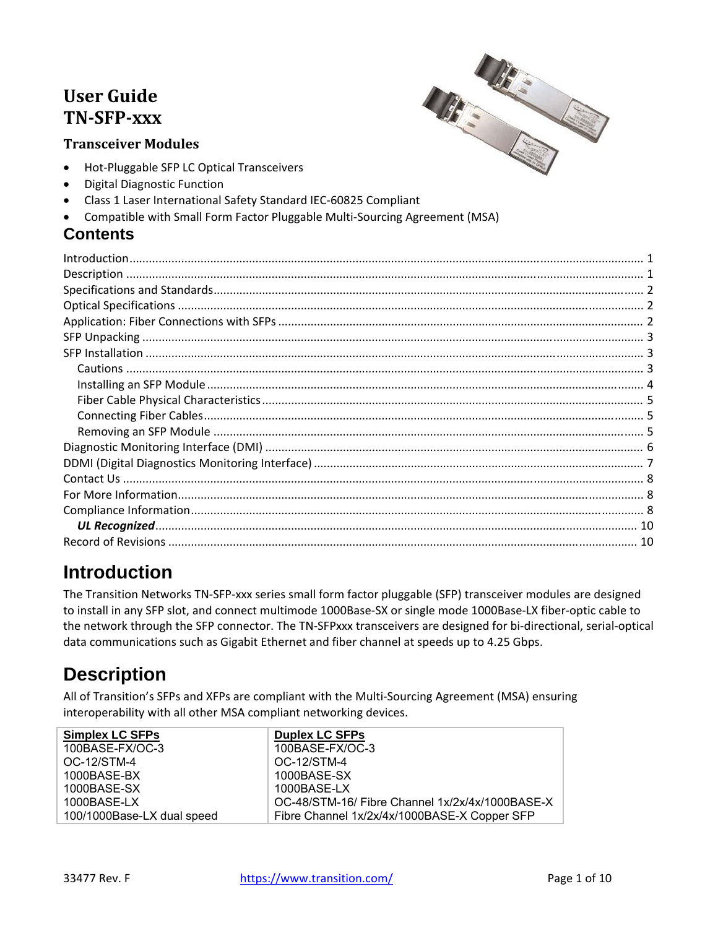### **User Guide TN‐SFP‐xxx**

#### **Transceiver Modules**



- Hot-Pluggable SFP LC Optical Transceivers
- Digital Diagnostic Function
- Class 1 Laser International Safety Standard IEC‐60825 Compliant
- Compatible with Small Form Factor Pluggable Multi‐Sourcing Agreement (MSA)

### **Contents**

# **Introduction**

The Transition Networks TN‐SFP‐xxx series small form factor pluggable (SFP) transceiver modules are designed to install in any SFP slot, and connect multimode 1000Base‐SX or single mode 1000Base‐LX fiber‐optic cable to the network through the SFP connector. The TN‐SFPxxx transceivers are designed for bi‐directional, serial‐optical data communications such as Gigabit Ethernet and fiber channel at speeds up to 4.25 Gbps.

# **Description**

All of Transition's SFPs and XFPs are compliant with the Multi‐Sourcing Agreement (MSA) ensuring interoperability with all other MSA compliant networking devices.

| <b>Simplex LC SFPs</b>     | <b>Duplex LC SFPs</b>                           |
|----------------------------|-------------------------------------------------|
| 100BASE-FX/OC-3            | 100BASE-FX/OC-3                                 |
| OC-12/STM-4                | OC-12/STM-4                                     |
| 1000BASE-BX                | 1000BASE-SX                                     |
| 1000BASE-SX                | 1000BASE-LX                                     |
| $1000$ BASE-LX             | OC-48/STM-16/ Fibre Channel 1x/2x/4x/1000BASE-X |
| 100/1000Base-LX dual speed | Fibre Channel 1x/2x/4x/1000BASE-X Copper SFP    |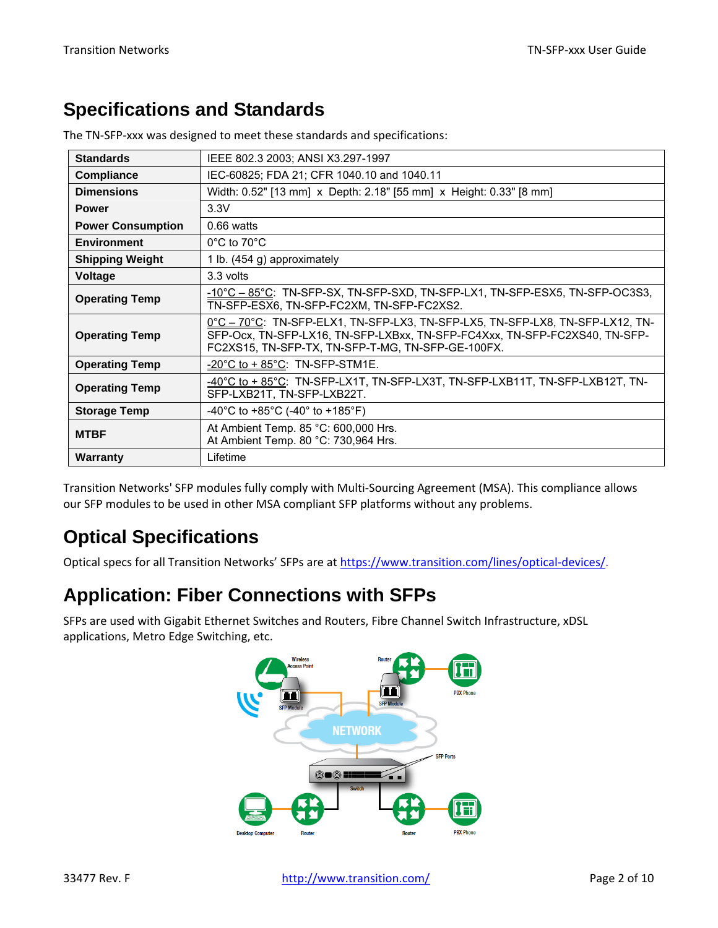## **Specifications and Standards**

| <b>Standards</b>         | IEEE 802.3 2003; ANSI X3.297-1997                                                                                                                                                                                |  |  |
|--------------------------|------------------------------------------------------------------------------------------------------------------------------------------------------------------------------------------------------------------|--|--|
| <b>Compliance</b>        | IEC-60825; FDA 21; CFR 1040.10 and 1040.11                                                                                                                                                                       |  |  |
| <b>Dimensions</b>        | Width: 0.52" [13 mm] x Depth: 2.18" [55 mm] x Height: 0.33" [8 mm]                                                                                                                                               |  |  |
| <b>Power</b>             | 3.3V                                                                                                                                                                                                             |  |  |
| <b>Power Consumption</b> | $0.66$ watts                                                                                                                                                                                                     |  |  |
| <b>Environment</b>       | $0^{\circ}$ C to 70 $^{\circ}$ C                                                                                                                                                                                 |  |  |
| <b>Shipping Weight</b>   | 1 lb. (454 g) approximately                                                                                                                                                                                      |  |  |
| <b>Voltage</b>           | 3.3 volts                                                                                                                                                                                                        |  |  |
| <b>Operating Temp</b>    | $-10^{\circ}$ C – 85 $^{\circ}$ C: TN-SFP-SX, TN-SFP-SXD, TN-SFP-LX1, TN-SFP-ESX5, TN-SFP-OC3S3,<br>TN-SFP-ESX6, TN-SFP-FC2XM, TN-SFP-FC2XS2.                                                                    |  |  |
| <b>Operating Temp</b>    | 0°C - 70°C: TN-SFP-ELX1, TN-SFP-LX3, TN-SFP-LX5, TN-SFP-LX8, TN-SFP-LX12, TN-<br>SFP-Ocx, TN-SFP-LX16, TN-SFP-LXBxx, TN-SFP-FC4Xxx, TN-SFP-FC2XS40, TN-SFP-<br>FC2XS15, TN-SFP-TX, TN-SFP-T-MG, TN-SFP-GE-100FX. |  |  |
| <b>Operating Temp</b>    | $-20^{\circ}$ C to + 85 $^{\circ}$ C: TN-SFP-STM1E.                                                                                                                                                              |  |  |
| <b>Operating Temp</b>    | $-40^{\circ}$ C to + 85 $^{\circ}$ C: TN-SFP-LX1T, TN-SFP-LX3T, TN-SFP-LXB11T, TN-SFP-LXB12T, TN-<br>SFP-LXB21T, TN-SFP-LXB22T.                                                                                  |  |  |
| <b>Storage Temp</b>      | -40°C to +85°C (-40° to +185°F)                                                                                                                                                                                  |  |  |
| <b>MTBF</b>              | At Ambient Temp. 85 °C: 600,000 Hrs.<br>At Ambient Temp. 80 °C: 730,964 Hrs.                                                                                                                                     |  |  |
| Warranty                 | Lifetime                                                                                                                                                                                                         |  |  |

The TN‐SFP‐xxx was designed to meet these standards and specifications:

Transition Networks' SFP modules fully comply with Multi‐Sourcing Agreement (MSA). This compliance allows our SFP modules to be used in other MSA compliant SFP platforms without any problems.

# **Optical Specifications**

Optical specs for all Transition Networks' SFPs are at https://www.transition.com/lines/optical-devices/.

## **Application: Fiber Connections with SFPs**

SFPs are used with Gigabit Ethernet Switches and Routers, Fibre Channel Switch Infrastructure, xDSL applications, Metro Edge Switching, etc.

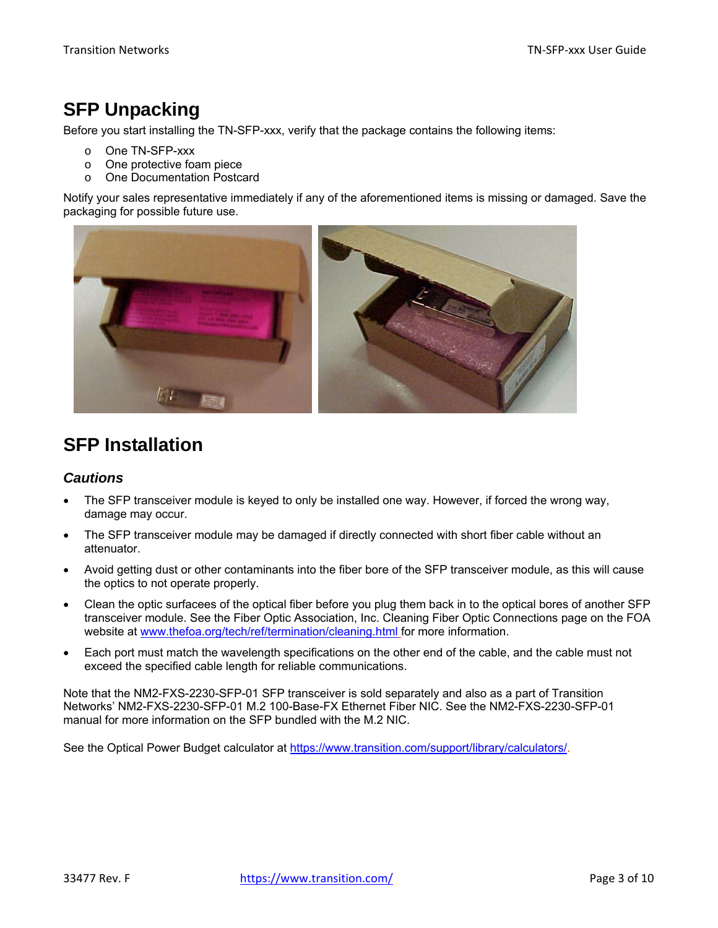## **SFP Unpacking**

Before you start installing the TN-SFP-xxx, verify that the package contains the following items:

- o One TN-SFP-xxx
- o One protective foam piece
- o One Documentation Postcard

Notify your sales representative immediately if any of the aforementioned items is missing or damaged. Save the packaging for possible future use.



### **SFP Installation**

#### *Cautions*

- The SFP transceiver module is keyed to only be installed one way. However, if forced the wrong way, damage may occur.
- The SFP transceiver module may be damaged if directly connected with short fiber cable without an attenuator.
- Avoid getting dust or other contaminants into the fiber bore of the SFP transceiver module, as this will cause the optics to not operate properly.
- Clean the optic surfacees of the optical fiber before you plug them back in to the optical bores of another SFP transceiver module. See the Fiber Optic Association, Inc. Cleaning Fiber Optic Connections page on the FOA website at www.thefoa.org/tech/ref/termination/cleaning.html for more information.
- Each port must match the wavelength specifications on the other end of the cable, and the cable must not exceed the specified cable length for reliable communications.

Note that the NM2-FXS-2230-SFP-01 SFP transceiver is sold separately and also as a part of Transition Networks' NM2-FXS-2230-SFP-01 M.2 100-Base-FX Ethernet Fiber NIC. See the NM2-FXS-2230-SFP-01 manual for more information on the SFP bundled with the M.2 NIC.

See the Optical Power Budget calculator at https://www.transition.com/support/library/calculators/.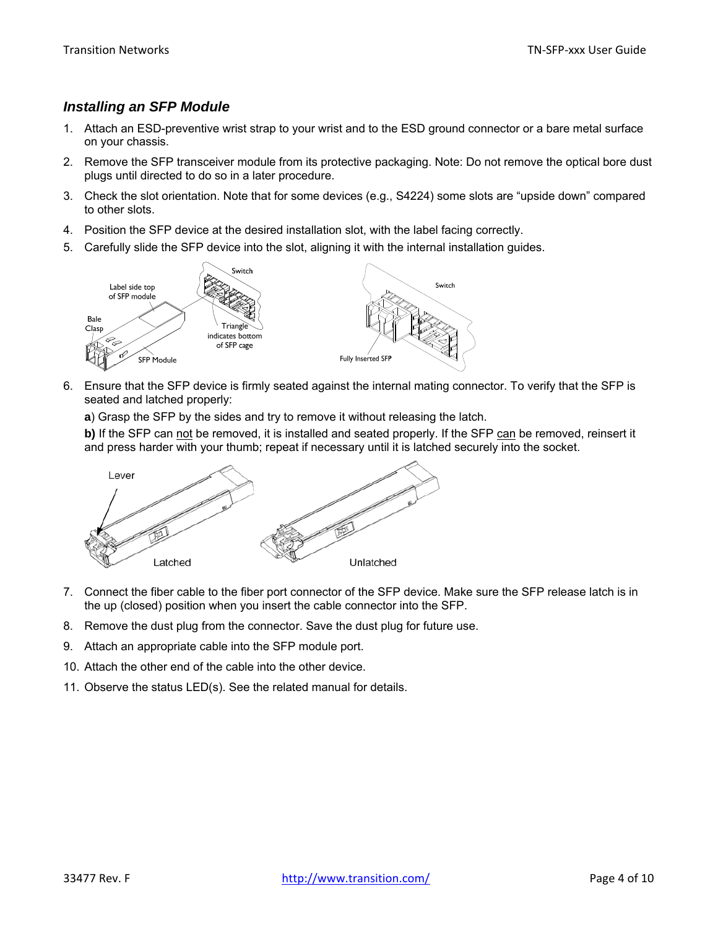#### *Installing an SFP Module*

- 1. Attach an ESD-preventive wrist strap to your wrist and to the ESD ground connector or a bare metal surface on your chassis.
- 2. Remove the SFP transceiver module from its protective packaging. Note: Do not remove the optical bore dust plugs until directed to do so in a later procedure.
- 3. Check the slot orientation. Note that for some devices (e.g., S4224) some slots are "upside down" compared to other slots.
- 4. Position the SFP device at the desired installation slot, with the label facing correctly.
- 5. Carefully slide the SFP device into the slot, aligning it with the internal installation guides.



- 6. Ensure that the SFP device is firmly seated against the internal mating connector. To verify that the SFP is seated and latched properly:
	- **a**) Grasp the SFP by the sides and try to remove it without releasing the latch.

**b)** If the SFP can not be removed, it is installed and seated properly. If the SFP can be removed, reinsert it and press harder with your thumb; repeat if necessary until it is latched securely into the socket.



- 7. Connect the fiber cable to the fiber port connector of the SFP device. Make sure the SFP release latch is in the up (closed) position when you insert the cable connector into the SFP.
- 8. Remove the dust plug from the connector. Save the dust plug for future use.
- 9. Attach an appropriate cable into the SFP module port.
- 10. Attach the other end of the cable into the other device.
- 11. Observe the status LED(s). See the related manual for details.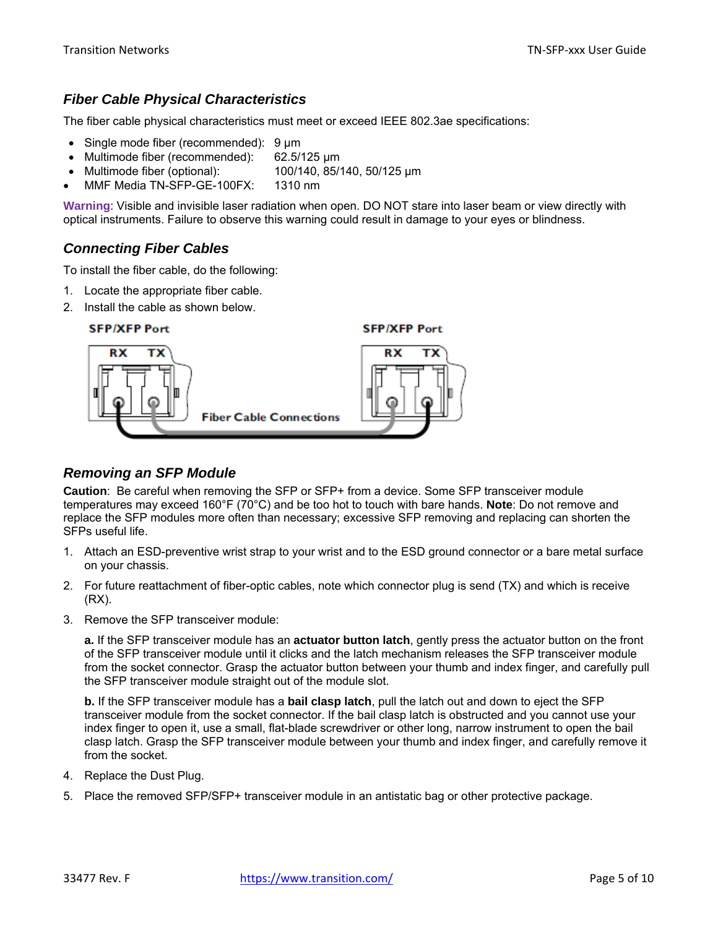#### *Fiber Cable Physical Characteristics*

The fiber cable physical characteristics must meet or exceed IEEE 802.3ae specifications:

- Single mode fiber (recommended): 9 μm
- Multimode fiber (recommended): 62.5/125 μm
- Multimode fiber (optional): 100/140, 85/140, 50/125 μm
- MMF Media TN-SFP-GE-100FX: 1310 nm

**Warning**: Visible and invisible laser radiation when open. DO NOT stare into laser beam or view directly with optical instruments. Failure to observe this warning could result in damage to your eyes or blindness.

#### *Connecting Fiber Cables*

To install the fiber cable, do the following:

- 1. Locate the appropriate fiber cable.
- 2. Install the cable as shown below.



#### *Removing an SFP Module*

**Caution**: Be careful when removing the SFP or SFP+ from a device. Some SFP transceiver module temperatures may exceed 160°F (70°C) and be too hot to touch with bare hands. **Note**: Do not remove and replace the SFP modules more often than necessary; excessive SFP removing and replacing can shorten the SFPs useful life.

- 1. Attach an ESD-preventive wrist strap to your wrist and to the ESD ground connector or a bare metal surface on your chassis.
- 2. For future reattachment of fiber-optic cables, note which connector plug is send (TX) and which is receive (RX).
- 3. Remove the SFP transceiver module:

**a.** If the SFP transceiver module has an **actuator button latch**, gently press the actuator button on the front of the SFP transceiver module until it clicks and the latch mechanism releases the SFP transceiver module from the socket connector. Grasp the actuator button between your thumb and index finger, and carefully pull the SFP transceiver module straight out of the module slot.

**b.** If the SFP transceiver module has a **bail clasp latch**, pull the latch out and down to eject the SFP transceiver module from the socket connector. If the bail clasp latch is obstructed and you cannot use your index finger to open it, use a small, flat-blade screwdriver or other long, narrow instrument to open the bail clasp latch. Grasp the SFP transceiver module between your thumb and index finger, and carefully remove it from the socket.

- 4. Replace the Dust Plug.
- 5. Place the removed SFP/SFP+ transceiver module in an antistatic bag or other protective package.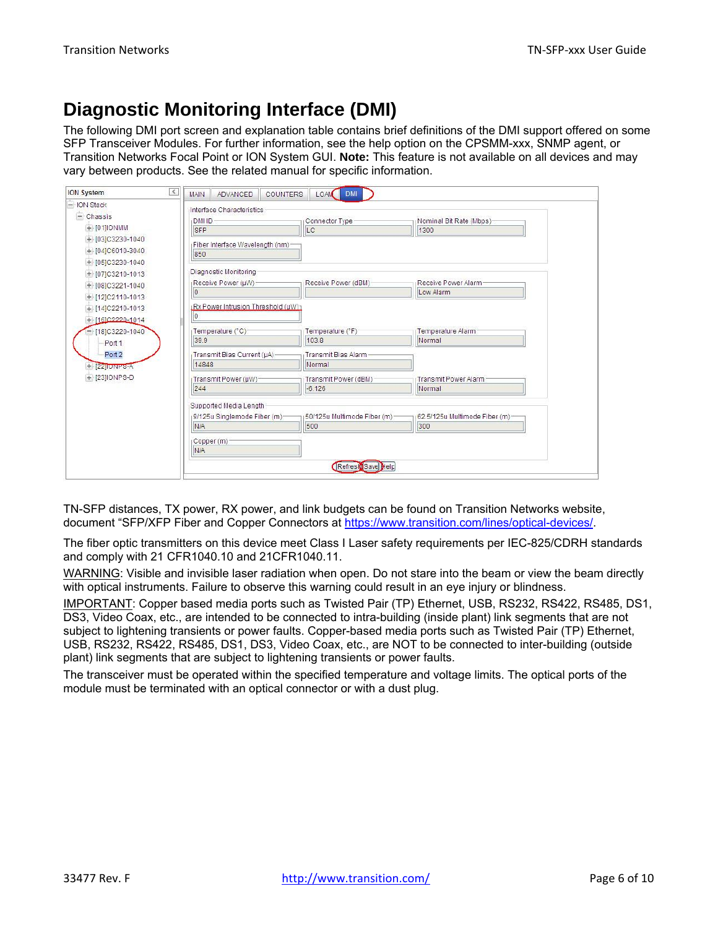# **Diagnostic Monitoring Interface (DMI)**

The following DMI port screen and explanation table contains brief definitions of the DMI support offered on some SFP Transceiver Modules. For further information, see the help option on the CPSMM-xxx, SNMP agent, or Transition Networks Focal Point or ION System GUI. **Note:** This feature is not available on all devices and may vary between products. See the related manual for specific information.

| - ION Stack          | <b>ADVANCED</b><br><b>COUNTERS</b><br><b>MAIN</b>                                                         | LOAM DMI                    |                                  |
|----------------------|-----------------------------------------------------------------------------------------------------------|-----------------------------|----------------------------------|
| $-$ Chassis          | Interface Characteristics                                                                                 |                             |                                  |
| $+ 1011$ IONMM       | <b>DMID</b><br><b>SFP</b>                                                                                 | Connector Type-<br>LC       | Nominal Bit Rate (Mbps):<br>1300 |
| $+$ [03]C3230-1040   |                                                                                                           |                             |                                  |
| $+104$ C6010-3040    | Fiber Interface Wavelength (nm)-                                                                          |                             |                                  |
|                      | 850                                                                                                       |                             |                                  |
| $+$ [05]C3230-1040   | Diagnostic Monitoring                                                                                     |                             |                                  |
| $+$ [07]C3210-1013   | (Receive Power (µW)                                                                                       | Receive Power (dBM)         | Receive Power Alarm              |
| $+ 1081C3221 - 1040$ | 0                                                                                                         |                             | Low Alarm                        |
| $+12$ C2110-1013     |                                                                                                           |                             |                                  |
| $+14$ [C2210-1013]   | (Rx Power Intrusion Threshold (µW)                                                                        |                             |                                  |
| $+1602220 - 1014$    | 10                                                                                                        |                             |                                  |
| $-18$ ]C3220-1040    | ("C)<br>Temperature<br>("C)<br><br>Temperature<br><br>Temperature<br><br><br><br><br><br><br><br><br><br> | Temperature (°F)            | Temperature Alarm                |
| Port 1               | 39.9                                                                                                      | 103.8                       | Normal                           |
| Port <sub>2</sub>    | (Transmit Bias Current (µA)-                                                                              | Transmit Bias Alarm         |                                  |
| [22] ONPS-A          | 14848                                                                                                     | Normal                      |                                  |
| + [23] IONPS-D       | [Transmit Power (µW)                                                                                      | Transmit Power (dBM)        | <b>Transmit Power Alarm</b>      |
|                      | 244                                                                                                       | $-6.126$                    | Normal                           |
|                      |                                                                                                           |                             |                                  |
|                      | Supported Media Length                                                                                    |                             |                                  |
|                      | 9/125u Singlemode Fiber (m)-                                                                              | 50/125u Multimode Fiber (m) | (62.5/125u Multimode Fiber (m)-  |
|                      | N/A                                                                                                       | 500                         | 300                              |
|                      | Copper (m)                                                                                                |                             |                                  |
|                      | N/A                                                                                                       |                             |                                  |
|                      |                                                                                                           | Refreski Save Help          |                                  |
|                      |                                                                                                           |                             |                                  |

TN-SFP distances, TX power, RX power, and link budgets can be found on Transition Networks website, document "SFP/XFP Fiber and Copper Connectors at https://www.transition.com/lines/optical-devices/.

The fiber optic transmitters on this device meet Class I Laser safety requirements per IEC-825/CDRH standards and comply with 21 CFR1040.10 and 21CFR1040.11.

WARNING: Visible and invisible laser radiation when open. Do not stare into the beam or view the beam directly with optical instruments. Failure to observe this warning could result in an eye injury or blindness.

IMPORTANT: Copper based media ports such as Twisted Pair (TP) Ethernet, USB, RS232, RS422, RS485, DS1, DS3, Video Coax, etc., are intended to be connected to intra-building (inside plant) link segments that are not subject to lightening transients or power faults. Copper-based media ports such as Twisted Pair (TP) Ethernet, USB, RS232, RS422, RS485, DS1, DS3, Video Coax, etc., are NOT to be connected to inter-building (outside plant) link segments that are subject to lightening transients or power faults.

The transceiver must be operated within the specified temperature and voltage limits. The optical ports of the module must be terminated with an optical connector or with a dust plug.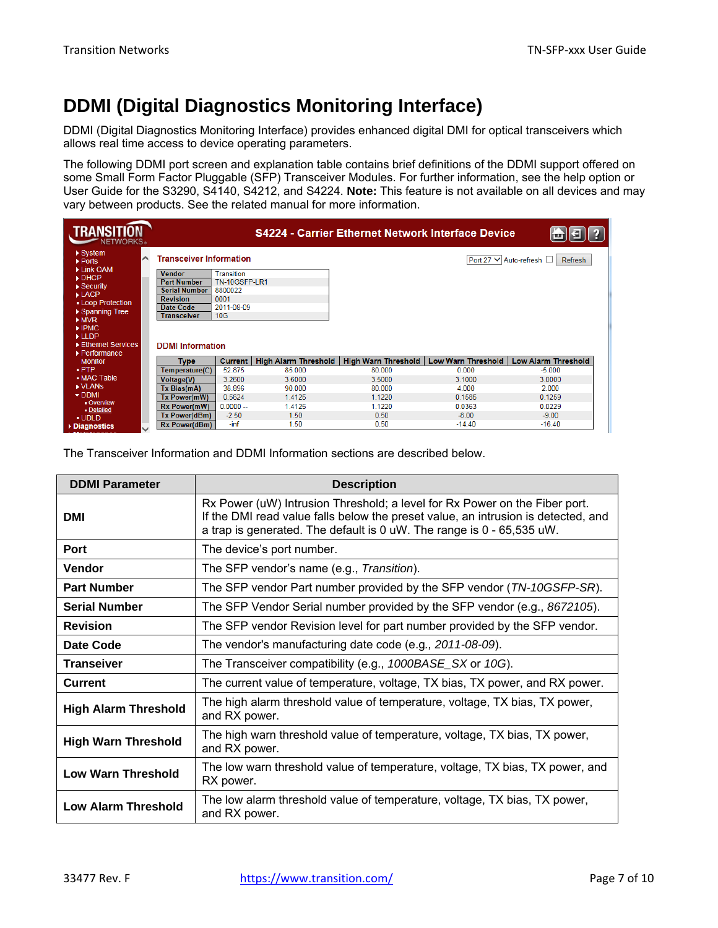## **DDMI (Digital Diagnostics Monitoring Interface)**

DDMI (Digital Diagnostics Monitoring Interface) provides enhanced digital DMI for optical transceivers which allows real time access to device operating parameters.

The following DDMI port screen and explanation table contains brief definitions of the DDMI support offered on some Small Form Factor Pluggable (SFP) Transceiver Modules. For further information, see the help option or User Guide for the S3290, S4140, S4212, and S4224. **Note:** This feature is not available on all devices and may vary between products. See the related manual for more information.

| <b>TRANSITION</b><br><b>NETWORKS</b>                                          |              |                                         |                                    |                             | <b>S4224 - Carrier Ethernet Network Interface Device</b> |                    |                                   |
|-------------------------------------------------------------------------------|--------------|-----------------------------------------|------------------------------------|-----------------------------|----------------------------------------------------------|--------------------|-----------------------------------|
| $\triangleright$ System<br>▶ Ports                                            | ⌒            | <b>Transceiver Information</b>          |                                    |                             |                                                          |                    | Port 27 V Auto-refresh<br>Refresh |
| Link OAM<br>$\triangleright$ DHCP<br>$\triangleright$ Security                |              | <b>Vendor</b><br><b>Part Number</b>     | Transition<br><b>TN-10GSFP-LR1</b> |                             |                                                          |                    |                                   |
| $\blacktriangleright$ LACP<br>- Loop Protection                               |              | <b>Serial Number</b><br><b>Revision</b> | 8800022<br>0001                    |                             |                                                          |                    |                                   |
| ▶ Spanning Tree<br>MVR                                                        |              | Date Code<br><b>Transceiver</b>         | 2011-08-09<br>10 <sub>G</sub>      |                             |                                                          |                    |                                   |
| $\blacktriangleright$ IPMC<br>$\blacktriangleright$ LLDP<br>Ethernet Services |              |                                         |                                    |                             |                                                          |                    |                                   |
| ▶ Performance<br><b>Monitor</b>                                               |              | <b>DDMI</b> Information<br>Type         | <b>Current</b>                     | <b>High Alarm Threshold</b> | <b>High Warn Threshold</b>                               | Low Warn Threshold | <b>Low Alarm Threshold</b>        |
| $.$ PTP                                                                       |              | Temperature(C)                          | 52.875                             | 85,000                      | 80.000                                                   | 0.000              | $-5.000$                          |
| • MAC Table                                                                   |              | <b>Voltage(V)</b>                       | 3.2600                             | 3.6000                      | 3.5000                                                   | 3.1000             | 3.0000                            |
| IN VLANS                                                                      |              | Tx Bias(mA)                             | 38.896                             | 90.000                      | 80.000                                                   | 4.000              | 2.000                             |
| $\nabla$ DDMI<br><b>Overview</b>                                              |              | Tx Power(mW)                            | 0.5624                             | 1.4125                      | 1.1220                                                   | 0.1585             | 0.1259                            |
| - Detailed                                                                    |              | Rx Power(mW)                            | $0.0000 -$                         | 1.4125                      | 1.1220                                                   | 0.0363             | 0.0229                            |
| UDLD                                                                          |              | Tx Power(dBm)                           | $-2.50$                            | 1.50                        | 0.50                                                     | $-8.00$            | $-9.00$                           |
| Diagnostics                                                                   | $\checkmark$ | <b>Rx Power(dBm)</b>                    | $-inf$                             | 1.50                        | 0.50                                                     | $-14.40$           | $-16.40$                          |

The Transceiver Information and DDMI Information sections are described below.

| <b>DDMI Parameter</b>                                                                                                      | <b>Description</b>                                                                                                                                                                                                                       |  |  |  |
|----------------------------------------------------------------------------------------------------------------------------|------------------------------------------------------------------------------------------------------------------------------------------------------------------------------------------------------------------------------------------|--|--|--|
| <b>DMI</b>                                                                                                                 | Rx Power (uW) Intrusion Threshold; a level for Rx Power on the Fiber port.<br>If the DMI read value falls below the preset value, an intrusion is detected, and<br>a trap is generated. The default is 0 uW. The range is 0 - 65,535 uW. |  |  |  |
| Port                                                                                                                       | The device's port number.                                                                                                                                                                                                                |  |  |  |
| Vendor                                                                                                                     | The SFP vendor's name (e.g., Transition).                                                                                                                                                                                                |  |  |  |
| <b>Part Number</b>                                                                                                         | The SFP vendor Part number provided by the SFP vendor (TN-10GSFP-SR).                                                                                                                                                                    |  |  |  |
| <b>Serial Number</b>                                                                                                       | The SFP Vendor Serial number provided by the SFP vendor (e.g., 8672105).                                                                                                                                                                 |  |  |  |
| <b>Revision</b>                                                                                                            | The SFP vendor Revision level for part number provided by the SFP vendor.                                                                                                                                                                |  |  |  |
| Date Code                                                                                                                  | The vendor's manufacturing date code (e.g., 2011-08-09).                                                                                                                                                                                 |  |  |  |
| <b>Transeiver</b><br>The Transceiver compatibility (e.g., 1000BASE_SX or 10G).                                             |                                                                                                                                                                                                                                          |  |  |  |
| <b>Current</b>                                                                                                             | The current value of temperature, voltage, TX bias, TX power, and RX power.                                                                                                                                                              |  |  |  |
| The high alarm threshold value of temperature, voltage, TX bias, TX power,<br><b>High Alarm Threshold</b><br>and RX power. |                                                                                                                                                                                                                                          |  |  |  |
| <b>High Warn Threshold</b>                                                                                                 | The high warn threshold value of temperature, voltage, TX bias, TX power,<br>and RX power.                                                                                                                                               |  |  |  |
| The low warn threshold value of temperature, voltage, TX bias, TX power, and<br><b>Low Warn Threshold</b><br>RX power.     |                                                                                                                                                                                                                                          |  |  |  |
| The low alarm threshold value of temperature, voltage, TX bias, TX power,<br><b>Low Alarm Threshold</b><br>and RX power.   |                                                                                                                                                                                                                                          |  |  |  |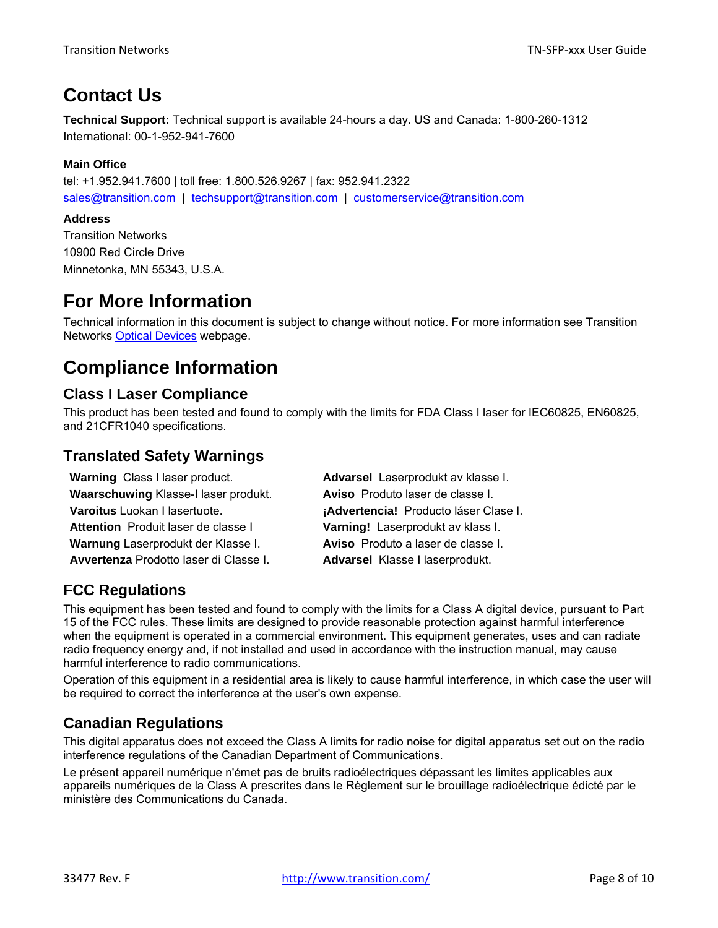## **Contact Us**

**Technical Support:** Technical support is available 24-hours a day. US and Canada: 1-800-260-1312 International: 00-1-952-941-7600

#### **Main Office**

tel: +1.952.941.7600 | toll free: 1.800.526.9267 | fax: 952.941.2322 sales@transition.com | techsupport@transition.com | customerservice@transition.com

#### **Address**

Transition Networks 10900 Red Circle Drive Minnetonka, MN 55343, U.S.A.

## **For More Information**

Technical information in this document is subject to change without notice. For more information see Transition Networks Optical Devices webpage.

## **Compliance Information**

#### **Class I Laser Compliance**

This product has been tested and found to comply with the limits for FDA Class I laser for IEC60825, EN60825, and 21CFR1040 specifications.

### **Translated Safety Warnings**

| <b>Warning Class I laser product.</b>  | Advarsel Laserprodukt av klasse I.    |
|----------------------------------------|---------------------------------------|
| Waarschuwing Klasse-I laser produkt.   | Aviso Produto laser de classe I.      |
| Varoitus Luokan I lasertuote.          | ¡Advertencia! Producto láser Clase I. |
| Attention Produit laser de classe I    | Varning! Laserprodukt av klass I.     |
| Warnung Laserprodukt der Klasse I.     | Aviso Produto a laser de classe I.    |
| Avvertenza Prodotto laser di Classe I. | Advarsel Klasse I laserprodukt.       |

### **FCC Regulations**

This equipment has been tested and found to comply with the limits for a Class A digital device, pursuant to Part 15 of the FCC rules. These limits are designed to provide reasonable protection against harmful interference when the equipment is operated in a commercial environment. This equipment generates, uses and can radiate radio frequency energy and, if not installed and used in accordance with the instruction manual, may cause harmful interference to radio communications.

Operation of this equipment in a residential area is likely to cause harmful interference, in which case the user will be required to correct the interference at the user's own expense.

### **Canadian Regulations**

This digital apparatus does not exceed the Class A limits for radio noise for digital apparatus set out on the radio interference regulations of the Canadian Department of Communications.

Le présent appareil numérique n'émet pas de bruits radioélectriques dépassant les limites applicables aux appareils numériques de la Class A prescrites dans le Règlement sur le brouillage radioélectrique édicté par le ministère des Communications du Canada.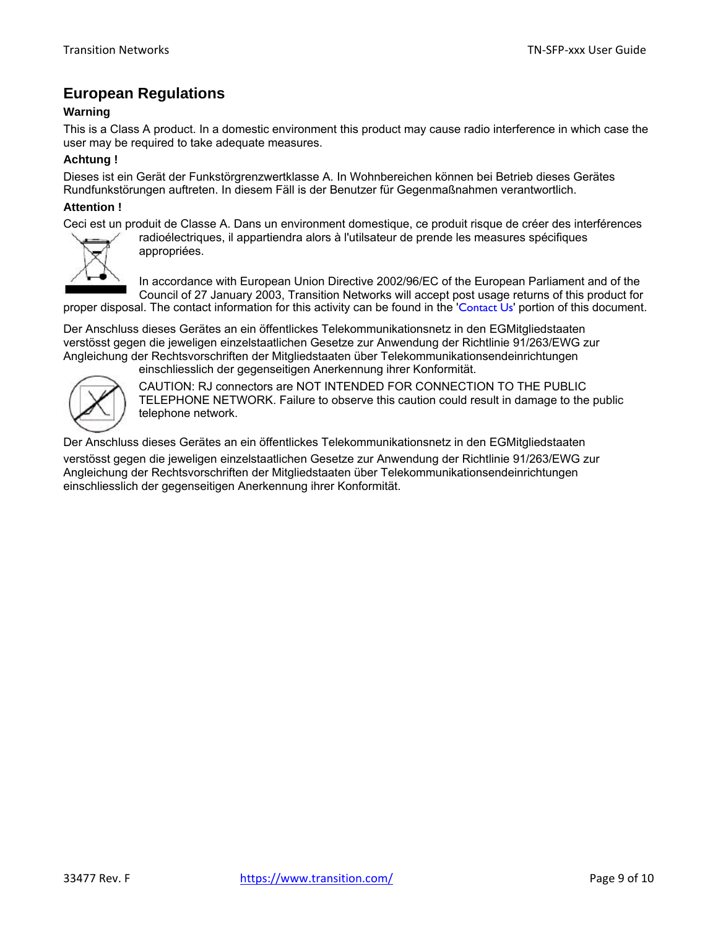#### **European Regulations**

#### **Warning**

This is a Class A product. In a domestic environment this product may cause radio interference in which case the user may be required to take adequate measures.

#### **Achtung !**

Dieses ist ein Gerät der Funkstörgrenzwertklasse A. In Wohnbereichen können bei Betrieb dieses Gerätes Rundfunkstörungen auftreten. In diesem Fäll is der Benutzer für Gegenmaßnahmen verantwortlich.

#### **Attention !**

Ceci est un produit de Classe A. Dans un environment domestique, ce produit risque de créer des interférences



radioélectriques, il appartiendra alors à l'utilsateur de prende les measures spécifiques appropriées.

In accordance with European Union Directive 2002/96/EC of the European Parliament and of the Council of 27 January 2003, Transition Networks will accept post usage returns of this product for proper disposal. The contact information for this activity can be found in the 'Contact Us' portion of this document.

Der Anschluss dieses Gerätes an ein öffentlickes Telekommunikationsnetz in den EGMitgliedstaaten verstösst gegen die jeweligen einzelstaatlichen Gesetze zur Anwendung der Richtlinie 91/263/EWG zur Angleichung der Rechtsvorschriften der Mitgliedstaaten über Telekommunikationsendeinrichtungen einschliesslich der gegenseitigen Anerkennung ihrer Konformität.



CAUTION: RJ connectors are NOT INTENDED FOR CONNECTION TO THE PUBLIC TELEPHONE NETWORK. Failure to observe this caution could result in damage to the public telephone network.

Der Anschluss dieses Gerätes an ein öffentlickes Telekommunikationsnetz in den EGMitgliedstaaten

verstösst gegen die jeweligen einzelstaatlichen Gesetze zur Anwendung der Richtlinie 91/263/EWG zur Angleichung der Rechtsvorschriften der Mitgliedstaaten über Telekommunikationsendeinrichtungen einschliesslich der gegenseitigen Anerkennung ihrer Konformität.